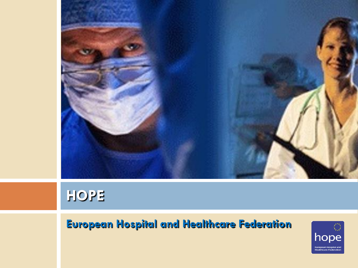

## **HOPE**

### **European Hospital and Healthcare Federation**

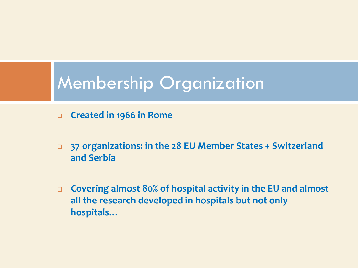## Membership Organization

- **Created in 1966 in Rome**
- **37 organizations: in the 28 EU Member States + Switzerland and Serbia**
- **Covering almost 80% of hospital activity in the EU and almost all the research developed in hospitals but not only hospitals…**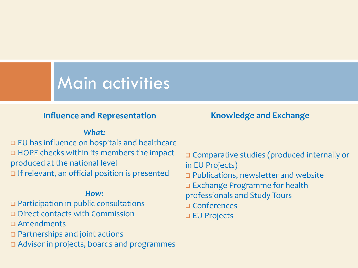### Main activities

### **Influence and Representation Knowledge** and Exchange

### *What:*

 EU has influence on hospitals and healthcare HOPE checks within its members the impact produced at the national level If relevant, an official position is presented

#### *How:*

Participation in public consultations

Direct contacts with Commission

Amendments

Partnerships and joint actions

Advisor in projects, boards and programmes

 Comparative studies (produced internally or in EU Projects) □ Publications, newsletter and website

- Exchange Programme for health
- professionals and Study Tours
- Conferences
- □ EU Projects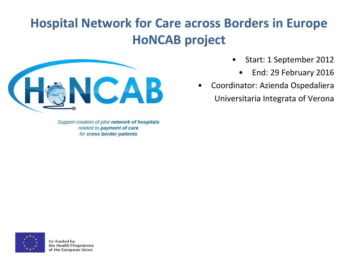### **Hospital Network for Care across Borders in Europe HoNCAB project**



*Support creation of pilot network of hospitals related to payment of care for cross border patients*

- Start: 1 September 2012
	- End: 29 February 2016
- Coordinator: Azienda Ospedaliera Universitaria Integrata of Verona

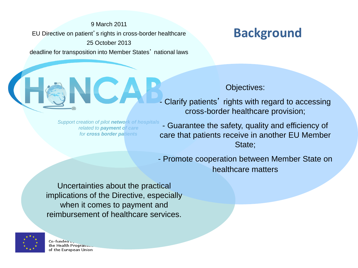9 March 2011 EU Directive on patient's rights in cross-border healthcare 25 October 2013 deadline for transposition into Member States' national laws

### **Background**

*Support creation of pilot network of hospitals related to payment of care for cross border patients*

#### Objectives:

- Clarify patients' rights with regard to accessing cross-border healthcare provision;
- Guarantee the safety, quality and efficiency of care that patients receive in another EU Member State;
- Promote cooperation between Member State on healthcare matters

Uncertainties about the practical implications of the Directive, especially when it comes to payment and reimbursement of healthcare services.



Co-fundea<sub>v</sub> the Health Program... of the European Union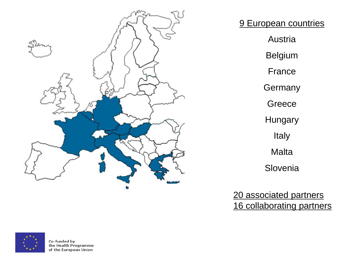

9 European countries Austria Belgium France **Germany Greece Hungary** Italy **Malta** Slovenia

20 associated partners 16 collaborating partners

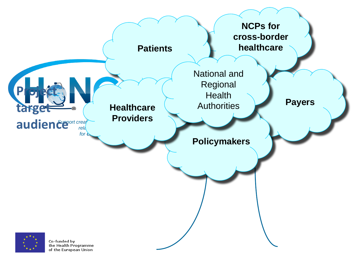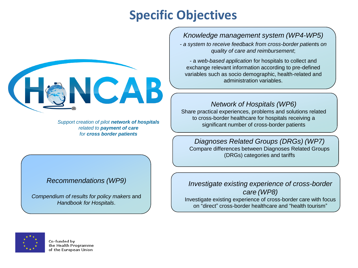### **Specific Objectives**



*Support creation of pilot network of hospitals related to payment of care for cross border patients*

#### *Recommendations (WP9)*

*Compendium of results for policy makers* and *Handbook for Hospitals*.

### *Knowledge management system (WP4-WP5)*

- *a system to receive feedback from cross-border patient*s *on quality of care and reimbursement*;

- a *web-based application* for hospitals to collect and exchange relevant information according to pre-defined variables such as socio demographic, health-related and administration variables.

#### *Network of Hospitals (WP6)*

Share practical experiences, problems and solutions related to cross-border healthcare for hospitals receiving a significant number of cross-border patients

*Diagnoses Related Groups (DRGs) (WP7)* Compare differences between Diagnoses Related Groups (DRGs) categories and tariffs

#### *Investigate existing experience of cross-border care (WP8)*

Investigate existing experience of cross-border care with focus on "direct" cross-border healthcare and "health tourism"

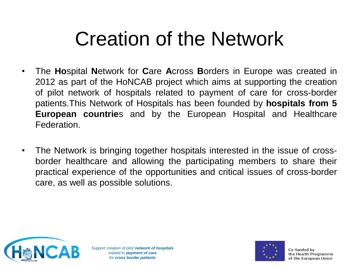## Creation of the Network

- The **Ho**spital **N**etwork for **C**are **A**cross **B**orders in Europe was created in 2012 as part of the HoNCAB project which aims at supporting the creation of pilot network of hospitals related to payment of care for cross-border patients.This Network of Hospitals has been founded by **hospitals from 5 European countrie**s and by the European Hospital and Healthcare Federation.
- The Network is bringing together hospitals interested in the issue of crossborder healthcare and allowing the participating members to share their practical experience of the opportunities and critical issues of cross-border care, as well as possible solutions.



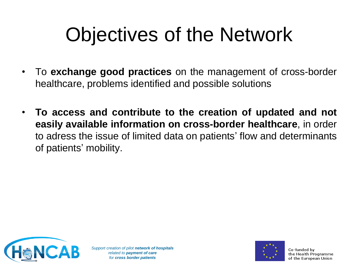# Objectives of the Network

- To **exchange good practices** on the management of cross-border healthcare, problems identified and possible solutions
- **To access and contribute to the creation of updated and not easily available information on cross-border healthcare**, in order to adress the issue of limited data on patients' flow and determinants of patients' mobility.



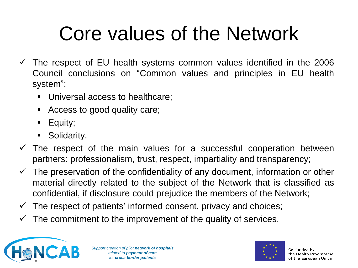# Core values of the Network

- $\checkmark$  The respect of EU health systems common values identified in the 2006 Council conclusions on "Common values and principles in EU health system":
	- Universal access to healthcare;
	- Access to good quality care;
	- Equity;
	- **Solidarity.**
- $\checkmark$  The respect of the main values for a successful cooperation between partners: professionalism, trust, respect, impartiality and transparency;
- The preservation of the confidentiality of any document, information or other material directly related to the subject of the Network that is classified as confidential, if disclosure could prejudice the members of the Network;
- $\checkmark$  The respect of patients' informed consent, privacy and choices;
- $\checkmark$  The commitment to the improvement of the quality of services.



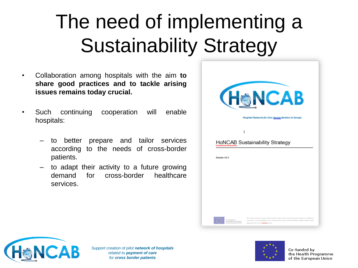# The need of implementing a Sustainability Strategy

- Collaboration among hospitals with the aim **to share good practices and to tackle arising issues remains today crucial.**
- Such continuing cooperation will enable hospitals:
	- to better prepare and tailor services according to the needs of cross-border patients.
	- to adapt their activity to a future growing demand for cross-border healthcare services.





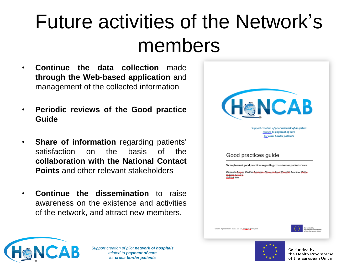## Future activities of the Network's members

- **Continue the data collection** made **through the Web-based application** and management of the collected information
- **Periodic reviews of the Good practice Guide**
- **Share of information** regarding patients' satisfaction on the basis of the **collaboration with the National Contact Points** and other relevant stakeholders
- **Continue the dissemination** to raise awareness on the existence and activities of the network, and attract new members.

| <b>ICAB</b><br>(H<br>Support creation of pilot network of hospitals<br>related to payment of care<br>for cross border patients                                                                                     |
|--------------------------------------------------------------------------------------------------------------------------------------------------------------------------------------------------------------------|
| Good practices guide<br>To implement good practices regarding cross-border patients' care<br>Benjamin Boyyet, Pauline Bobineeu, Eleopopp, Adopt Covesillé, Laurence Coille,<br>لمستعف فتتشك<br><b>Publish</b> date |
|                                                                                                                                                                                                                    |
| Co-funded by<br>Grant Agreement 2011 13 01 HoNCAB Project<br>the Health Programme<br>of the European Union                                                                                                         |



*Support creation of pilot network of hospitals related to payment of care for cross border patients*